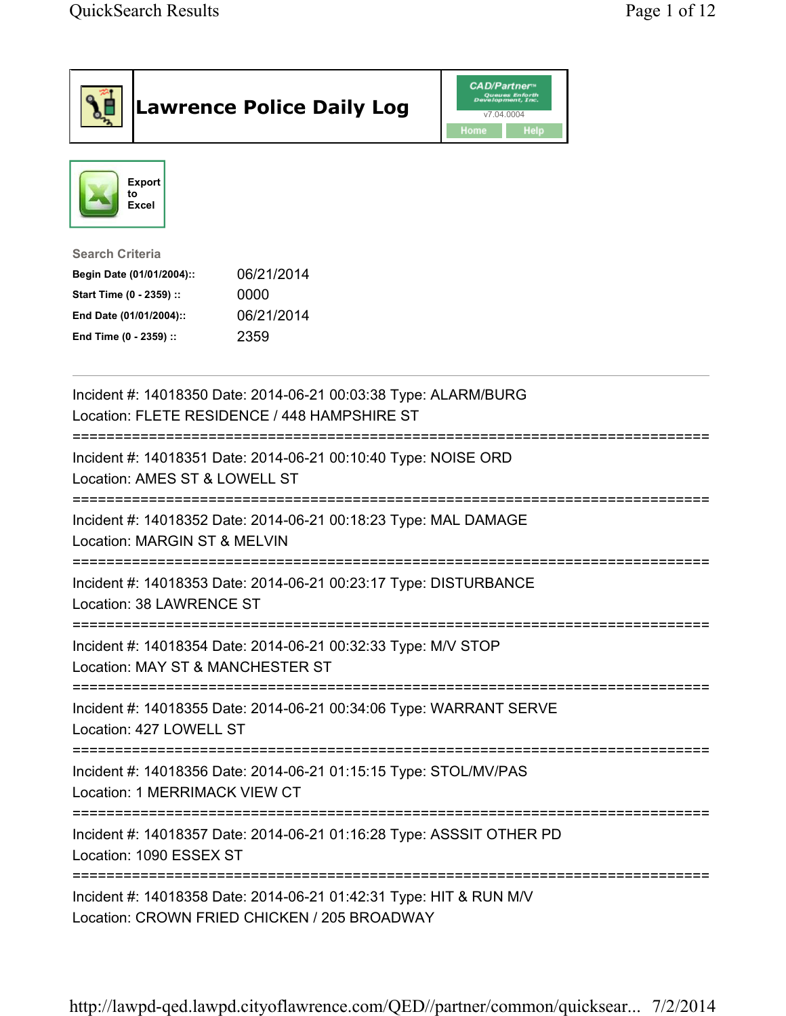| <b>Lawrence Police Daily Log</b>                                                                                                                                                 | <b>CAD/Partner</b><br>Queues Enforth<br>Development, Inc.<br>v7.04.0004<br>Home<br>Help |
|----------------------------------------------------------------------------------------------------------------------------------------------------------------------------------|-----------------------------------------------------------------------------------------|
| <b>Export</b><br>to<br>Excel                                                                                                                                                     |                                                                                         |
| <b>Search Criteria</b><br>06/21/2014<br>Begin Date (01/01/2004)::<br>Start Time (0 - 2359) ::<br>0000<br>06/21/2014<br>End Date (01/01/2004)::<br>2359<br>End Time (0 - 2359) :: |                                                                                         |
| Incident #: 14018350 Date: 2014-06-21 00:03:38 Type: ALARM/BURG<br>Location: FLETE RESIDENCE / 448 HAMPSHIRE ST                                                                  |                                                                                         |
| Incident #: 14018351 Date: 2014-06-21 00:10:40 Type: NOISE ORD<br>Location: AMES ST & LOWELL ST                                                                                  |                                                                                         |
| Incident #: 14018352 Date: 2014-06-21 00:18:23 Type: MAL DAMAGE<br>Location: MARGIN ST & MELVIN                                                                                  |                                                                                         |
| Incident #: 14018353 Date: 2014-06-21 00:23:17 Type: DISTURBANCE<br>Location: 38 LAWRENCE ST                                                                                     |                                                                                         |
| Incident #: 14018354 Date: 2014-06-21 00:32:33 Type: M/V STOP<br>Location: MAY ST & MANCHESTER ST                                                                                |                                                                                         |
| Incident #: 14018355 Date: 2014-06-21 00:34:06 Type: WARRANT SERVE<br>Location: 427 LOWELL ST                                                                                    |                                                                                         |
| Incident #: 14018356 Date: 2014-06-21 01:15:15 Type: STOL/MV/PAS<br>Location: 1 MERRIMACK VIEW CT                                                                                |                                                                                         |
| Incident #: 14018357 Date: 2014-06-21 01:16:28 Type: ASSSIT OTHER PD<br>Location: 1090 ESSEX ST                                                                                  |                                                                                         |
| Incident #: 14018358 Date: 2014-06-21 01:42:31 Type: HIT & RUN M/V<br>Location: CROWN FRIED CHICKEN / 205 BROADWAY                                                               |                                                                                         |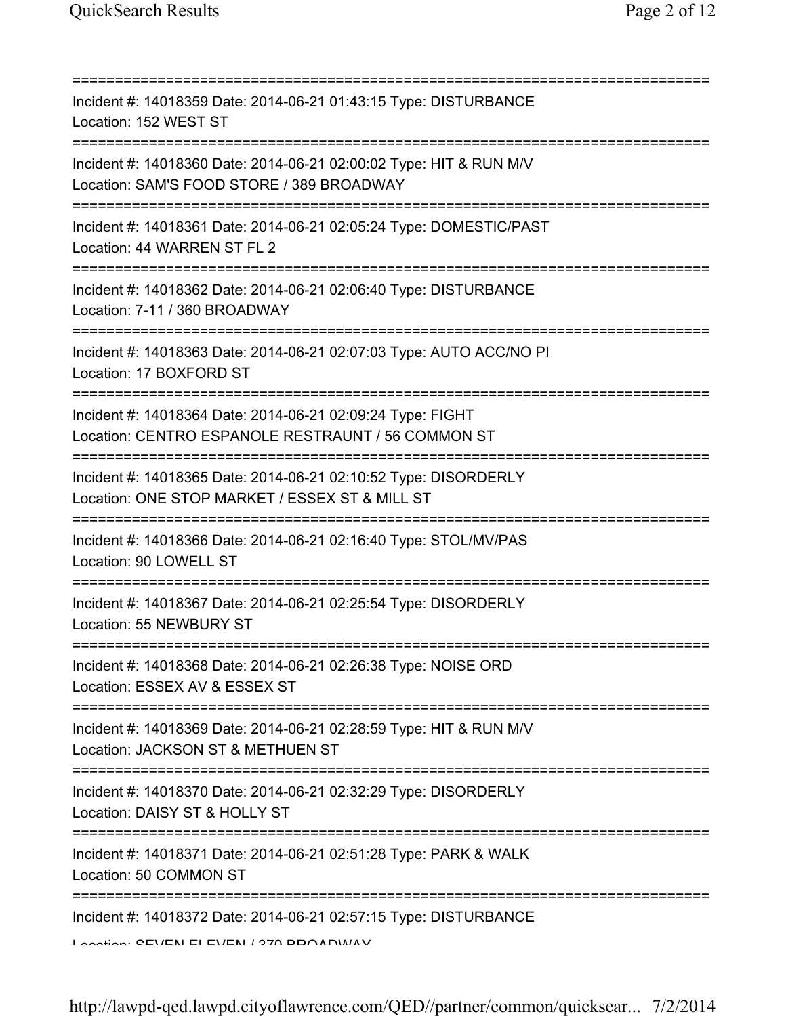| Incident #: 14018359 Date: 2014-06-21 01:43:15 Type: DISTURBANCE<br>Location: 152 WEST ST                                                   |
|---------------------------------------------------------------------------------------------------------------------------------------------|
| Incident #: 14018360 Date: 2014-06-21 02:00:02 Type: HIT & RUN M/V<br>Location: SAM'S FOOD STORE / 389 BROADWAY                             |
| Incident #: 14018361 Date: 2014-06-21 02:05:24 Type: DOMESTIC/PAST<br>Location: 44 WARREN ST FL 2                                           |
| Incident #: 14018362 Date: 2014-06-21 02:06:40 Type: DISTURBANCE<br>Location: 7-11 / 360 BROADWAY                                           |
| Incident #: 14018363 Date: 2014-06-21 02:07:03 Type: AUTO ACC/NO PI<br>Location: 17 BOXFORD ST                                              |
| Incident #: 14018364 Date: 2014-06-21 02:09:24 Type: FIGHT<br>Location: CENTRO ESPANOLE RESTRAUNT / 56 COMMON ST<br>================        |
| Incident #: 14018365 Date: 2014-06-21 02:10:52 Type: DISORDERLY<br>Location: ONE STOP MARKET / ESSEX ST & MILL ST<br>:===================   |
| Incident #: 14018366 Date: 2014-06-21 02:16:40 Type: STOL/MV/PAS<br>Location: 90 LOWELL ST                                                  |
| Incident #: 14018367 Date: 2014-06-21 02:25:54 Type: DISORDERLY<br>Location: 55 NEWBURY ST                                                  |
| Incident #: 14018368 Date: 2014-06-21 02:26:38 Type: NOISE ORD<br>Location: ESSEX AV & ESSEX ST                                             |
| Incident #: 14018369 Date: 2014-06-21 02:28:59 Type: HIT & RUN M/V<br>Location: JACKSON ST & METHUEN ST                                     |
| Incident #: 14018370 Date: 2014-06-21 02:32:29 Type: DISORDERLY<br>Location: DAISY ST & HOLLY ST<br>=========================<br>========== |
| Incident #: 14018371 Date: 2014-06-21 02:51:28 Type: PARK & WALK<br>Location: 50 COMMON ST                                                  |
| Incident #: 14018372 Date: 2014-06-21 02:57:15 Type: DISTURBANCE<br>Loogtion: CEVENLELEVENL / 270 DDOADVAAV                                 |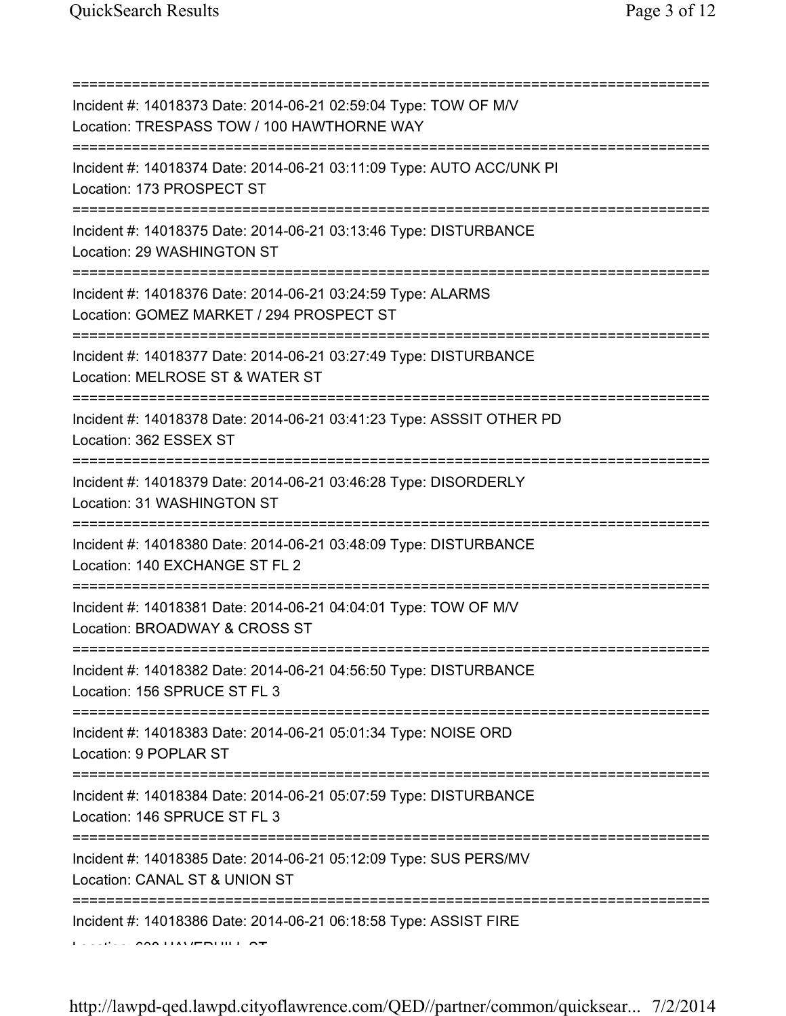| Incident #: 14018373 Date: 2014-06-21 02:59:04 Type: TOW OF M/V<br>Location: TRESPASS TOW / 100 HAWTHORNE WAY<br>========================== |
|---------------------------------------------------------------------------------------------------------------------------------------------|
| Incident #: 14018374 Date: 2014-06-21 03:11:09 Type: AUTO ACC/UNK PI<br>Location: 173 PROSPECT ST                                           |
| Incident #: 14018375 Date: 2014-06-21 03:13:46 Type: DISTURBANCE<br>Location: 29 WASHINGTON ST<br>====================================      |
| Incident #: 14018376 Date: 2014-06-21 03:24:59 Type: ALARMS<br>Location: GOMEZ MARKET / 294 PROSPECT ST                                     |
| Incident #: 14018377 Date: 2014-06-21 03:27:49 Type: DISTURBANCE<br>Location: MELROSE ST & WATER ST                                         |
| Incident #: 14018378 Date: 2014-06-21 03:41:23 Type: ASSSIT OTHER PD<br>Location: 362 ESSEX ST                                              |
| Incident #: 14018379 Date: 2014-06-21 03:46:28 Type: DISORDERLY<br>Location: 31 WASHINGTON ST                                               |
| Incident #: 14018380 Date: 2014-06-21 03:48:09 Type: DISTURBANCE<br>Location: 140 EXCHANGE ST FL 2                                          |
| Incident #: 14018381 Date: 2014-06-21 04:04:01 Type: TOW OF M/V<br>Location: BROADWAY & CROSS ST                                            |
| Incident #: 14018382 Date: 2014-06-21 04:56:50 Type: DISTURBANCE<br>Location: 156 SPRUCE ST FL 3                                            |
| Incident #: 14018383 Date: 2014-06-21 05:01:34 Type: NOISE ORD<br>Location: 9 POPLAR ST                                                     |
| Incident #: 14018384 Date: 2014-06-21 05:07:59 Type: DISTURBANCE<br>Location: 146 SPRUCE ST FL 3                                            |
| ==============<br>Incident #: 14018385 Date: 2014-06-21 05:12:09 Type: SUS PERS/MV<br>Location: CANAL ST & UNION ST                         |
| Incident #: 14018386 Date: 2014-06-21 06:18:58 Type: ASSIST FIRE                                                                            |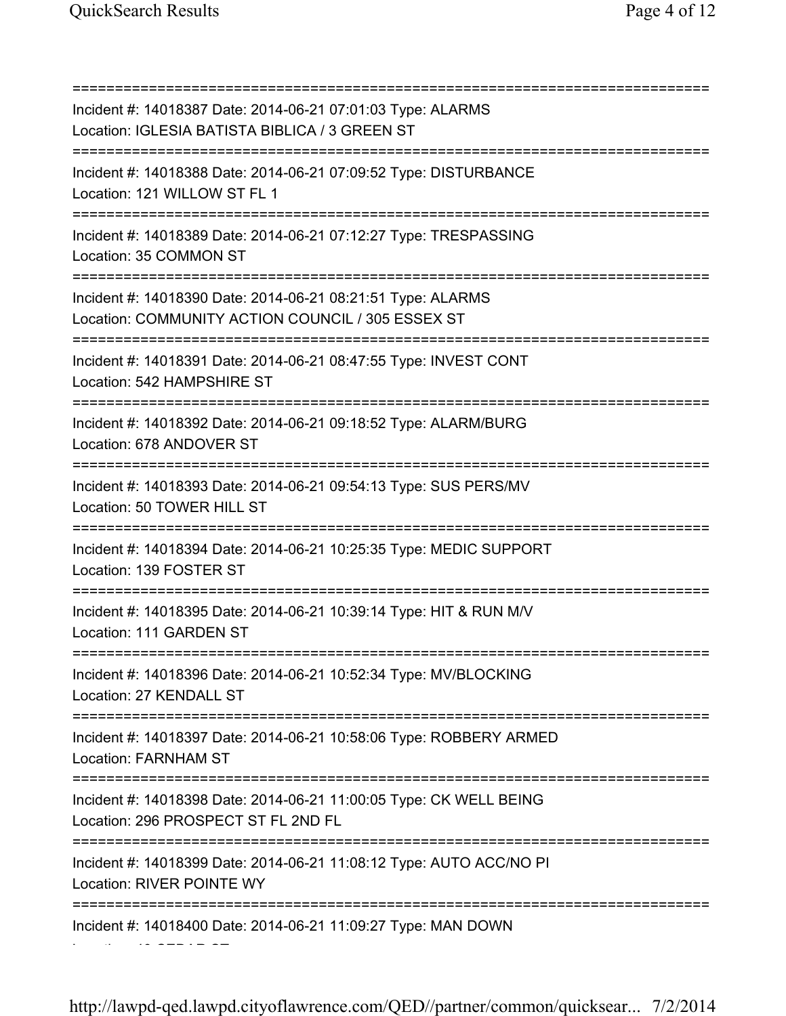=========================================================================== Incident #: 14018387 Date: 2014-06-21 07:01:03 Type: ALARMS Location: IGLESIA BATISTA BIBLICA / 3 GREEN ST =========================================================================== Incident #: 14018388 Date: 2014-06-21 07:09:52 Type: DISTURBANCE Location: 121 WILLOW ST FL 1 =========================================================================== Incident #: 14018389 Date: 2014-06-21 07:12:27 Type: TRESPASSING Location: 35 COMMON ST =========================================================================== Incident #: 14018390 Date: 2014-06-21 08:21:51 Type: ALARMS Location: COMMUNITY ACTION COUNCIL / 305 ESSEX ST =========================================================================== Incident #: 14018391 Date: 2014-06-21 08:47:55 Type: INVEST CONT Location: 542 HAMPSHIRE ST =========================================================================== Incident #: 14018392 Date: 2014-06-21 09:18:52 Type: ALARM/BURG Location: 678 ANDOVER ST =========================================================================== Incident #: 14018393 Date: 2014-06-21 09:54:13 Type: SUS PERS/MV Location: 50 TOWER HILL ST =========================================================================== Incident #: 14018394 Date: 2014-06-21 10:25:35 Type: MEDIC SUPPORT Location: 139 FOSTER ST =========================================================================== Incident #: 14018395 Date: 2014-06-21 10:39:14 Type: HIT & RUN M/V Location: 111 GARDEN ST =========================================================================== Incident #: 14018396 Date: 2014-06-21 10:52:34 Type: MV/BLOCKING Location: 27 KENDALL ST =========================================================================== Incident #: 14018397 Date: 2014-06-21 10:58:06 Type: ROBBERY ARMED Location: FARNHAM ST =========================================================================== Incident #: 14018398 Date: 2014-06-21 11:00:05 Type: CK WELL BEING Location: 296 PROSPECT ST FL 2ND FL =========================================================================== Incident #: 14018399 Date: 2014-06-21 11:08:12 Type: AUTO ACC/NO PI Location: RIVER POINTE WY =========================================================================== Incident #: 14018400 Date: 2014-06-21 11:09:27 Type: MAN DOWN

Location: 40 CEDAR ST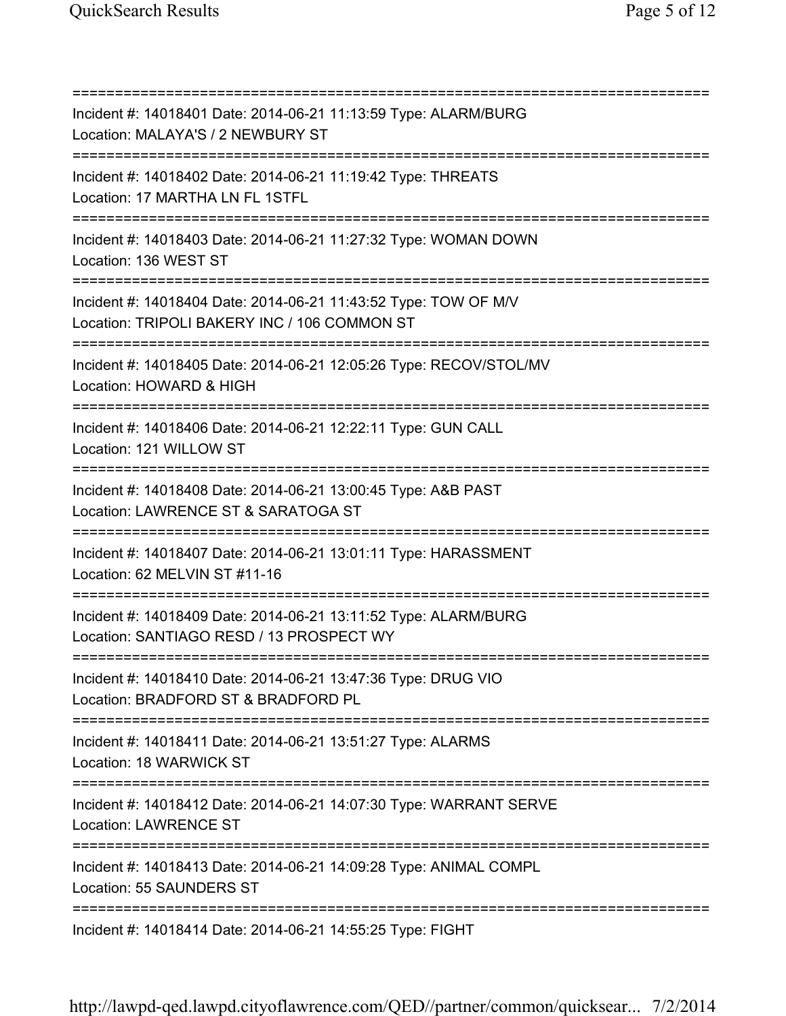=========================================================================== Incident #: 14018401 Date: 2014-06-21 11:13:59 Type: ALARM/BURG Location: MALAYA'S / 2 NEWBURY ST =========================================================================== Incident #: 14018402 Date: 2014-06-21 11:19:42 Type: THREATS Location: 17 MARTHA LN FL 1STFL =========================================================================== Incident #: 14018403 Date: 2014-06-21 11:27:32 Type: WOMAN DOWN Location: 136 WEST ST =========================================================================== Incident #: 14018404 Date: 2014-06-21 11:43:52 Type: TOW OF M/V Location: TRIPOLI BAKERY INC / 106 COMMON ST =========================================================================== Incident #: 14018405 Date: 2014-06-21 12:05:26 Type: RECOV/STOL/MV Location: HOWARD & HIGH =========================================================================== Incident #: 14018406 Date: 2014-06-21 12:22:11 Type: GUN CALL Location: 121 WILLOW ST =========================================================================== Incident #: 14018408 Date: 2014-06-21 13:00:45 Type: A&B PAST Location: LAWRENCE ST & SARATOGA ST =========================================================================== Incident #: 14018407 Date: 2014-06-21 13:01:11 Type: HARASSMENT Location: 62 MELVIN ST #11-16 =========================================================================== Incident #: 14018409 Date: 2014-06-21 13:11:52 Type: ALARM/BURG Location: SANTIAGO RESD / 13 PROSPECT WY =========================================================================== Incident #: 14018410 Date: 2014-06-21 13:47:36 Type: DRUG VIO Location: BRADFORD ST & BRADFORD PL =========================================================================== Incident #: 14018411 Date: 2014-06-21 13:51:27 Type: ALARMS Location: 18 WARWICK ST =========================================================================== Incident #: 14018412 Date: 2014-06-21 14:07:30 Type: WARRANT SERVE Location: LAWRENCE ST =========================================================================== Incident #: 14018413 Date: 2014-06-21 14:09:28 Type: ANIMAL COMPL Location: 55 SAUNDERS ST =========================================================================== Incident #: 14018414 Date: 2014-06-21 14:55:25 Type: FIGHT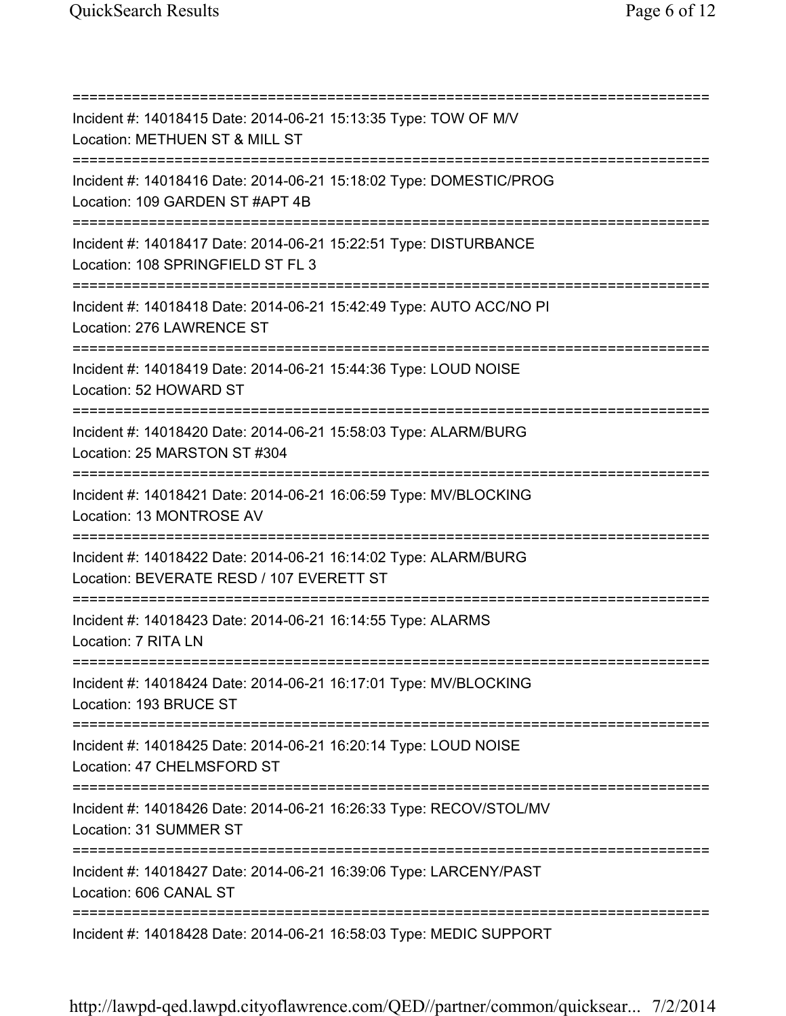=========================================================================== Incident #: 14018415 Date: 2014-06-21 15:13:35 Type: TOW OF M/V Location: METHUEN ST & MILL ST =========================================================================== Incident #: 14018416 Date: 2014-06-21 15:18:02 Type: DOMESTIC/PROG Location: 109 GARDEN ST #APT 4B =========================================================================== Incident #: 14018417 Date: 2014-06-21 15:22:51 Type: DISTURBANCE Location: 108 SPRINGFIELD ST FL 3 =========================================================================== Incident #: 14018418 Date: 2014-06-21 15:42:49 Type: AUTO ACC/NO PI Location: 276 LAWRENCE ST =========================================================================== Incident #: 14018419 Date: 2014-06-21 15:44:36 Type: LOUD NOISE Location: 52 HOWARD ST =========================================================================== Incident #: 14018420 Date: 2014-06-21 15:58:03 Type: ALARM/BURG Location: 25 MARSTON ST #304 =========================================================================== Incident #: 14018421 Date: 2014-06-21 16:06:59 Type: MV/BLOCKING Location: 13 MONTROSE AV =========================================================================== Incident #: 14018422 Date: 2014-06-21 16:14:02 Type: ALARM/BURG Location: BEVERATE RESD / 107 EVERETT ST =========================================================================== Incident #: 14018423 Date: 2014-06-21 16:14:55 Type: ALARMS Location: 7 RITA LN =========================================================================== Incident #: 14018424 Date: 2014-06-21 16:17:01 Type: MV/BLOCKING Location: 193 BRUCE ST =========================================================================== Incident #: 14018425 Date: 2014-06-21 16:20:14 Type: LOUD NOISE Location: 47 CHELMSFORD ST =========================================================================== Incident #: 14018426 Date: 2014-06-21 16:26:33 Type: RECOV/STOL/MV Location: 31 SUMMER ST =========================================================================== Incident #: 14018427 Date: 2014-06-21 16:39:06 Type: LARCENY/PAST Location: 606 CANAL ST =========================================================================== Incident #: 14018428 Date: 2014-06-21 16:58:03 Type: MEDIC SUPPORT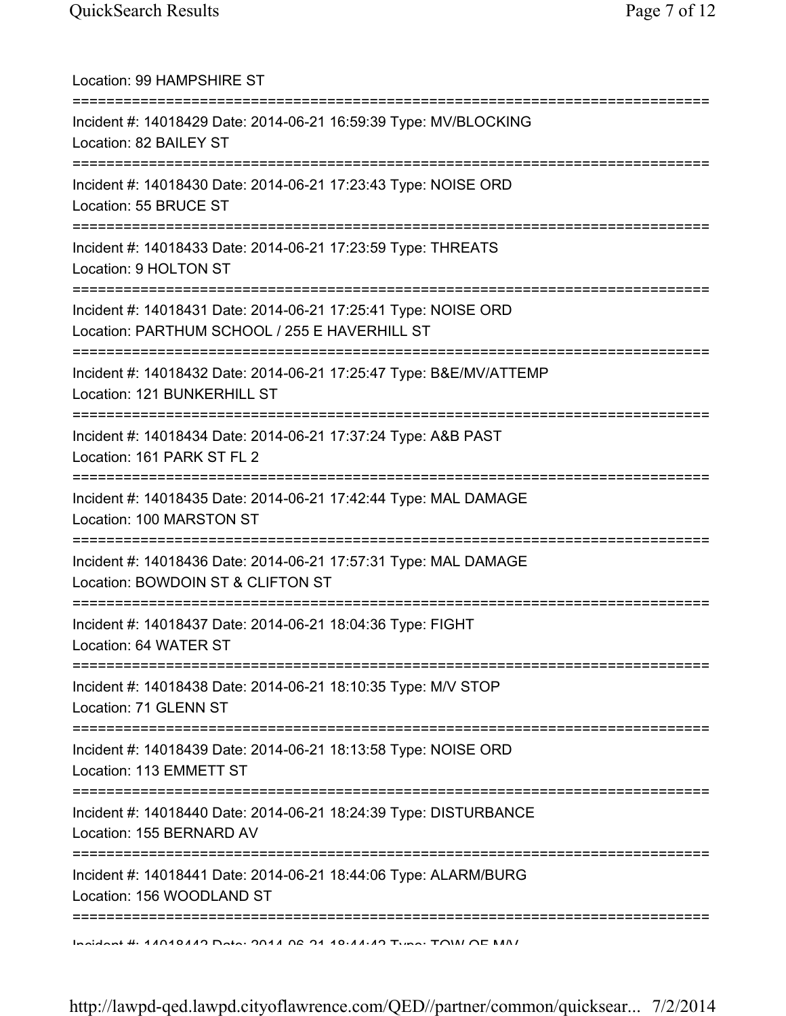| Location: 99 HAMPSHIRE ST                                                                                                       |
|---------------------------------------------------------------------------------------------------------------------------------|
| Incident #: 14018429 Date: 2014-06-21 16:59:39 Type: MV/BLOCKING<br>Location: 82 BAILEY ST                                      |
| Incident #: 14018430 Date: 2014-06-21 17:23:43 Type: NOISE ORD<br>Location: 55 BRUCE ST                                         |
| Incident #: 14018433 Date: 2014-06-21 17:23:59 Type: THREATS<br>Location: 9 HOLTON ST<br>====================================   |
| Incident #: 14018431 Date: 2014-06-21 17:25:41 Type: NOISE ORD<br>Location: PARTHUM SCHOOL / 255 E HAVERHILL ST                 |
| Incident #: 14018432 Date: 2014-06-21 17:25:47 Type: B&E/MV/ATTEMP<br>Location: 121 BUNKERHILL ST                               |
| ---------<br>Incident #: 14018434 Date: 2014-06-21 17:37:24 Type: A&B PAST<br>Location: 161 PARK ST FL 2                        |
| ================================<br>Incident #: 14018435 Date: 2014-06-21 17:42:44 Type: MAL DAMAGE<br>Location: 100 MARSTON ST |
| Incident #: 14018436 Date: 2014-06-21 17:57:31 Type: MAL DAMAGE<br>Location: BOWDOIN ST & CLIFTON ST                            |
| Incident #: 14018437 Date: 2014-06-21 18:04:36 Type: FIGHT<br>Location: 64 WATER ST                                             |
| =====================================<br>Incident #: 14018438 Date: 2014-06-21 18:10:35 Type: M/V STOP<br>Location: 71 GLENN ST |
| Incident #: 14018439 Date: 2014-06-21 18:13:58 Type: NOISE ORD<br>Location: 113 EMMETT ST                                       |
| Incident #: 14018440 Date: 2014-06-21 18:24:39 Type: DISTURBANCE<br>Location: 155 BERNARD AV                                    |
| Incident #: 14018441 Date: 2014-06-21 18:44:06 Type: ALARM/BURG<br>Location: 156 WOODLAND ST                                    |
| Indident # 11010110 Deta: 0011 00 01 10.11.10 Time: TOIN OF NAN                                                                 |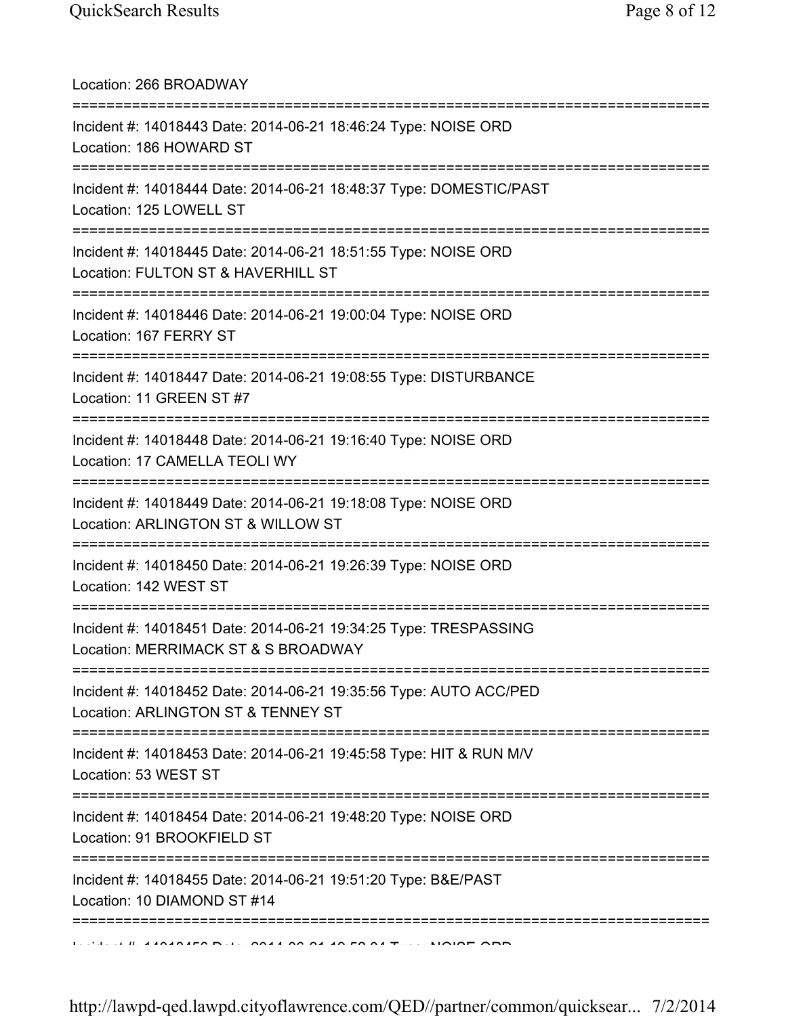Location: 266 BROADWAY =========================================================================== Incident #: 14018443 Date: 2014-06-21 18:46:24 Type: NOISE ORD Location: 186 HOWARD ST =========================================================================== Incident #: 14018444 Date: 2014-06-21 18:48:37 Type: DOMESTIC/PAST Location: 125 LOWELL ST =========================================================================== Incident #: 14018445 Date: 2014-06-21 18:51:55 Type: NOISE ORD Location: FULTON ST & HAVERHILL ST =========================================================================== Incident #: 14018446 Date: 2014-06-21 19:00:04 Type: NOISE ORD Location: 167 FERRY ST =========================================================================== Incident #: 14018447 Date: 2014-06-21 19:08:55 Type: DISTURBANCE Location: 11 GREEN ST #7 =========================================================================== Incident #: 14018448 Date: 2014-06-21 19:16:40 Type: NOISE ORD Location: 17 CAMELLA TEOLI WY =========================================================================== Incident #: 14018449 Date: 2014-06-21 19:18:08 Type: NOISE ORD Location: ARLINGTON ST & WILLOW ST =========================================================================== Incident #: 14018450 Date: 2014-06-21 19:26:39 Type: NOISE ORD Location: 142 WEST ST =========================================================================== Incident #: 14018451 Date: 2014-06-21 19:34:25 Type: TRESPASSING Location: MERRIMACK ST & S BROADWAY =========================================================================== Incident #: 14018452 Date: 2014-06-21 19:35:56 Type: AUTO ACC/PED Location: ARLINGTON ST & TENNEY ST =========================================================================== Incident #: 14018453 Date: 2014-06-21 19:45:58 Type: HIT & RUN M/V Location: 53 WEST ST =========================================================================== Incident #: 14018454 Date: 2014-06-21 19:48:20 Type: NOISE ORD Location: 91 BROOKFIELD ST =========================================================================== Incident #: 14018455 Date: 2014-06-21 19:51:20 Type: B&E/PAST Location: 10 DIAMOND ST #14 ===========================================================================  $1.01414040456$  Date: 2014 06 21 19:50  $0.17 \times 10005$  ORD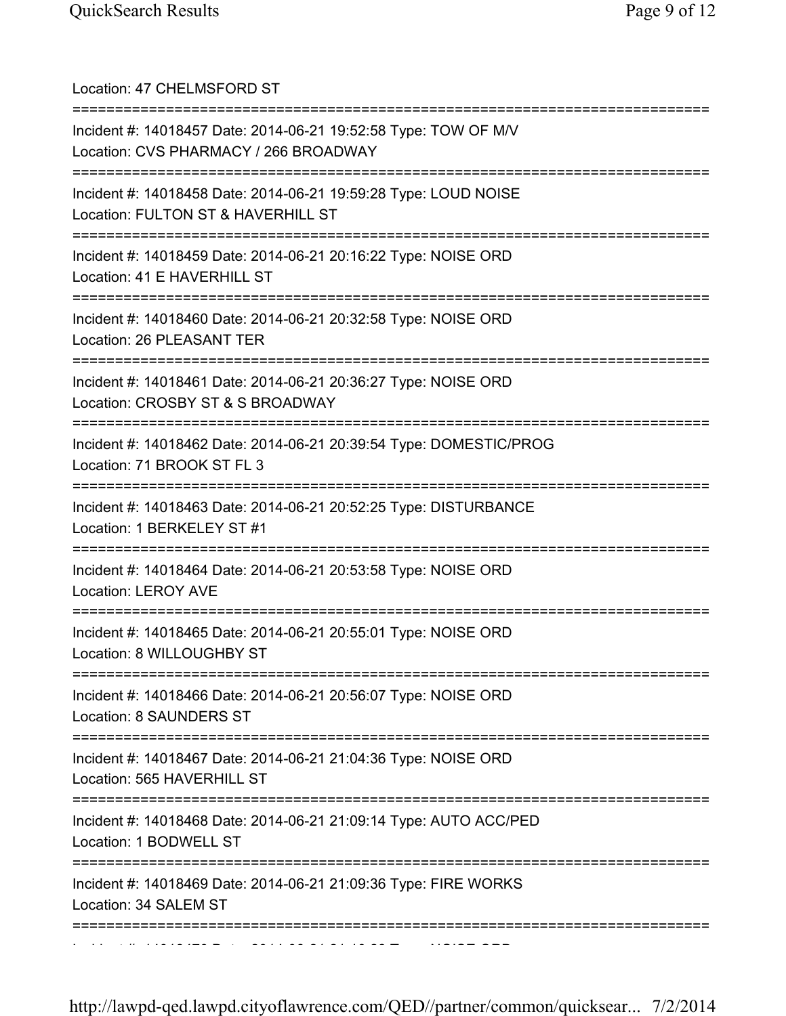| Location: 47 CHELMSFORD ST                                                                                                                            |
|-------------------------------------------------------------------------------------------------------------------------------------------------------|
| Incident #: 14018457 Date: 2014-06-21 19:52:58 Type: TOW OF M/V<br>Location: CVS PHARMACY / 266 BROADWAY<br>;===============================          |
| Incident #: 14018458 Date: 2014-06-21 19:59:28 Type: LOUD NOISE<br>Location: FULTON ST & HAVERHILL ST<br>========================<br>================ |
| Incident #: 14018459 Date: 2014-06-21 20:16:22 Type: NOISE ORD<br>Location: 41 E HAVERHILL ST                                                         |
| Incident #: 14018460 Date: 2014-06-21 20:32:58 Type: NOISE ORD<br>Location: 26 PLEASANT TER                                                           |
| Incident #: 14018461 Date: 2014-06-21 20:36:27 Type: NOISE ORD<br>Location: CROSBY ST & S BROADWAY                                                    |
| Incident #: 14018462 Date: 2014-06-21 20:39:54 Type: DOMESTIC/PROG<br>Location: 71 BROOK ST FL 3                                                      |
| Incident #: 14018463 Date: 2014-06-21 20:52:25 Type: DISTURBANCE<br>Location: 1 BERKELEY ST #1                                                        |
| Incident #: 14018464 Date: 2014-06-21 20:53:58 Type: NOISE ORD<br><b>Location: LEROY AVE</b>                                                          |
| Incident #: 14018465 Date: 2014-06-21 20:55:01 Type: NOISE ORD<br>Location: 8 WILLOUGHBY ST<br>================================                       |
| Incident #: 14018466 Date: 2014-06-21 20:56:07 Type: NOISE ORD<br>Location: 8 SAUNDERS ST                                                             |
| Incident #: 14018467 Date: 2014-06-21 21:04:36 Type: NOISE ORD<br>Location: 565 HAVERHILL ST                                                          |
| Incident #: 14018468 Date: 2014-06-21 21:09:14 Type: AUTO ACC/PED<br>Location: 1 BODWELL ST                                                           |
| ====================<br>Incident #: 14018469 Date: 2014-06-21 21:09:36 Type: FIRE WORKS<br>Location: 34 SALEM ST                                      |
|                                                                                                                                                       |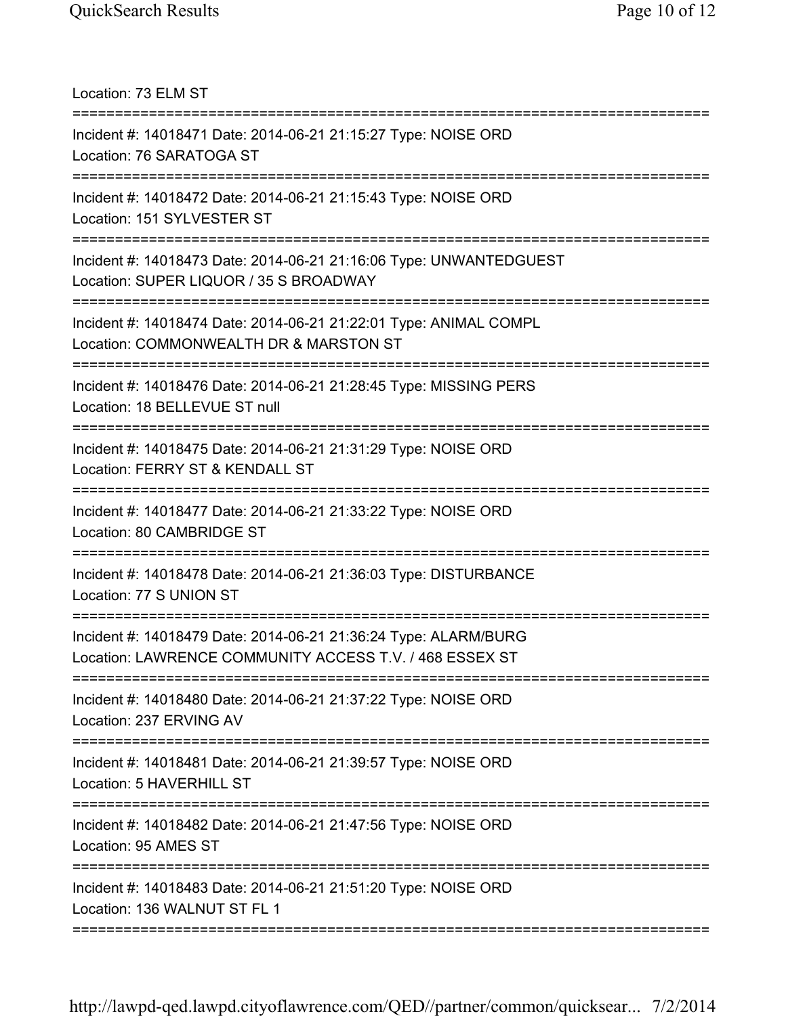Location: 73 ELM ST

| Incident #: 14018471 Date: 2014-06-21 21:15:27 Type: NOISE ORD<br>Location: 76 SARATOGA ST<br>====================                 |
|------------------------------------------------------------------------------------------------------------------------------------|
| Incident #: 14018472 Date: 2014-06-21 21:15:43 Type: NOISE ORD<br>Location: 151 SYLVESTER ST                                       |
| Incident #: 14018473 Date: 2014-06-21 21:16:06 Type: UNWANTEDGUEST<br>Location: SUPER LIQUOR / 35 S BROADWAY                       |
| Incident #: 14018474 Date: 2014-06-21 21:22:01 Type: ANIMAL COMPL<br>Location: COMMONWEALTH DR & MARSTON ST<br>------------------- |
| Incident #: 14018476 Date: 2014-06-21 21:28:45 Type: MISSING PERS<br>Location: 18 BELLEVUE ST null                                 |
| Incident #: 14018475 Date: 2014-06-21 21:31:29 Type: NOISE ORD<br>Location: FERRY ST & KENDALL ST                                  |
| Incident #: 14018477 Date: 2014-06-21 21:33:22 Type: NOISE ORD<br>Location: 80 CAMBRIDGE ST                                        |
| Incident #: 14018478 Date: 2014-06-21 21:36:03 Type: DISTURBANCE<br>Location: 77 S UNION ST                                        |
| Incident #: 14018479 Date: 2014-06-21 21:36:24 Type: ALARM/BURG<br>Location: LAWRENCE COMMUNITY ACCESS T.V. / 468 ESSEX ST         |
| Incident #: 14018480 Date: 2014-06-21 21:37:22 Type: NOISE ORD<br>Location: 237 ERVING AV                                          |
| Incident #: 14018481 Date: 2014-06-21 21:39:57 Type: NOISE ORD<br>Location: 5 HAVERHILL ST                                         |
| Incident #: 14018482 Date: 2014-06-21 21:47:56 Type: NOISE ORD<br>Location: 95 AMES ST                                             |
| Incident #: 14018483 Date: 2014-06-21 21:51:20 Type: NOISE ORD<br>Location: 136 WALNUT ST FL 1                                     |
|                                                                                                                                    |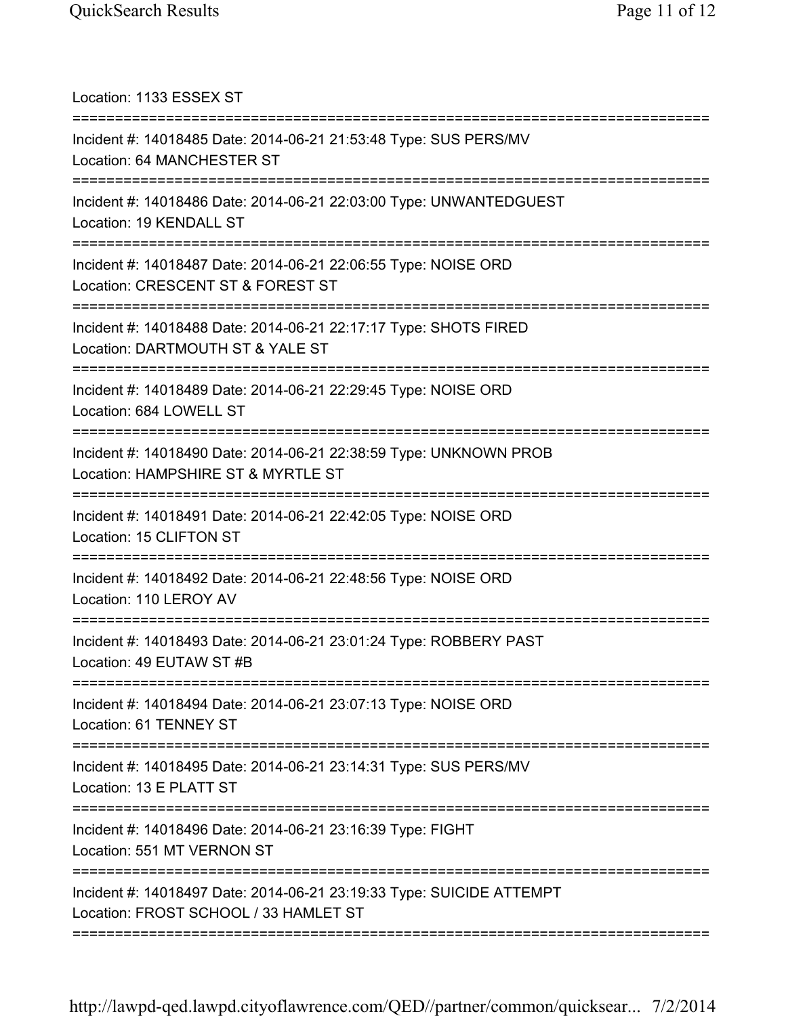| Location: 1133 ESSEX ST                                                                                                                                 |
|---------------------------------------------------------------------------------------------------------------------------------------------------------|
| Incident #: 14018485 Date: 2014-06-21 21:53:48 Type: SUS PERS/MV<br>Location: 64 MANCHESTER ST                                                          |
| Incident #: 14018486 Date: 2014-06-21 22:03:00 Type: UNWANTEDGUEST<br>Location: 19 KENDALL ST<br>==================================                     |
| Incident #: 14018487 Date: 2014-06-21 22:06:55 Type: NOISE ORD<br>Location: CRESCENT ST & FOREST ST                                                     |
| Incident #: 14018488 Date: 2014-06-21 22:17:17 Type: SHOTS FIRED<br>Location: DARTMOUTH ST & YALE ST                                                    |
| Incident #: 14018489 Date: 2014-06-21 22:29:45 Type: NOISE ORD<br>Location: 684 LOWELL ST                                                               |
| Incident #: 14018490 Date: 2014-06-21 22:38:59 Type: UNKNOWN PROB<br>Location: HAMPSHIRE ST & MYRTLE ST                                                 |
| Incident #: 14018491 Date: 2014-06-21 22:42:05 Type: NOISE ORD<br>Location: 15 CLIFTON ST                                                               |
| Incident #: 14018492 Date: 2014-06-21 22:48:56 Type: NOISE ORD<br>Location: 110 LEROY AV                                                                |
| Incident #: 14018493 Date: 2014-06-21 23:01:24 Type: ROBBERY PAST<br>Location: 49 EUTAW ST #B                                                           |
| Incident #: 14018494 Date: 2014-06-21 23:07:13 Type: NOISE ORD<br>Location: 61 TENNEY ST                                                                |
| Incident #: 14018495 Date: 2014-06-21 23:14:31 Type: SUS PERS/MV<br>Location: 13 E PLATT ST<br>:======================<br>============================= |
| Incident #: 14018496 Date: 2014-06-21 23:16:39 Type: FIGHT<br>Location: 551 MT VERNON ST                                                                |
| Incident #: 14018497 Date: 2014-06-21 23:19:33 Type: SUICIDE ATTEMPT<br>Location: FROST SCHOOL / 33 HAMLET ST                                           |
|                                                                                                                                                         |